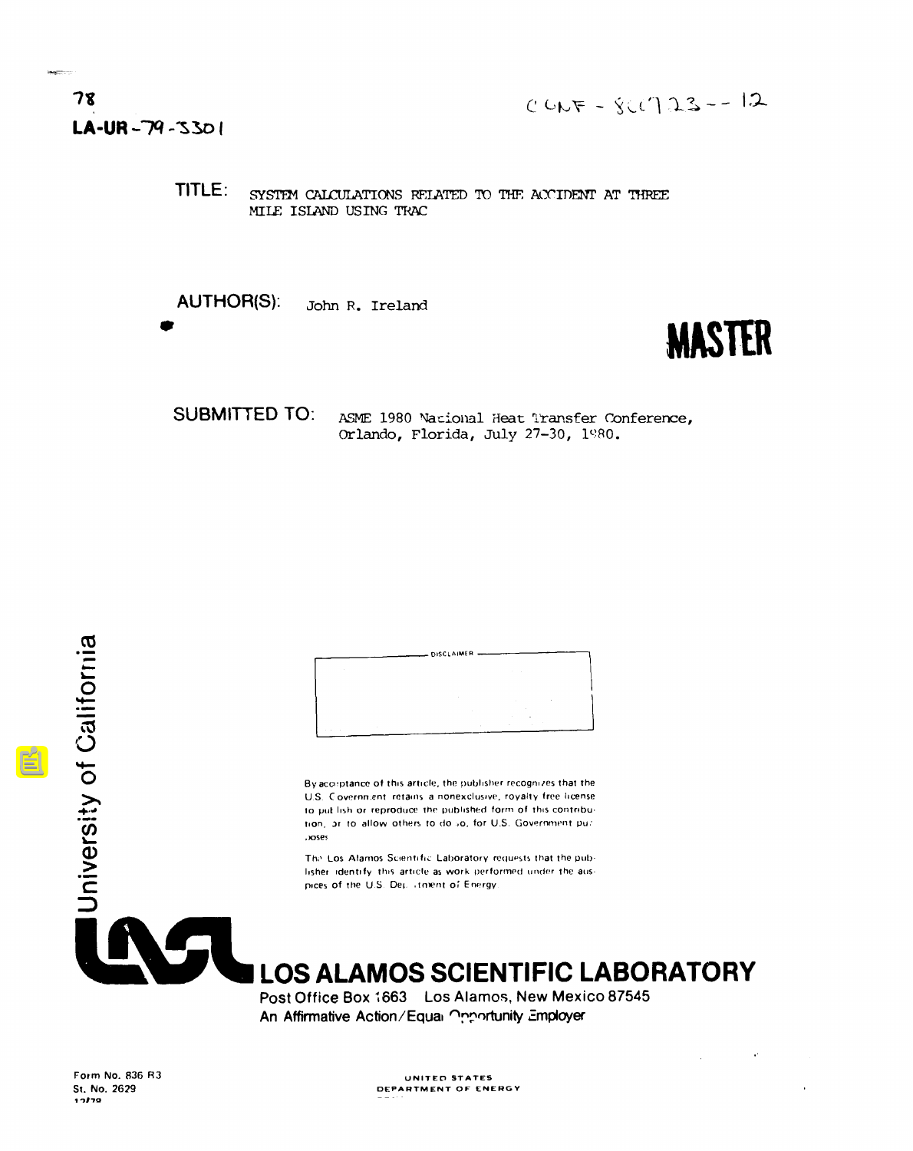TITLE: SYSTEM CALCULATIONS RELATED TO THE ACCIDENT AT THREE MILE ISLAND USING TRAC

**AUTHOR(S):** John R. Ireland

# **MASTER**

 $\sim$ 

**SUBMITTED TO:** ASME 1980 Nacional Heat Transfer Conference, Orlando, Florida, July 27-30, 1980.



By acceptance of this article, the publisher recognizes that the U.S. Covernment retains a nonexclusive, royalty free license to put lish or reproduce the published form of this contribution, or to allow others to do so, for U.S. Government puz .oses

The Los Alamos Scientific Laboratory requests that the publisher identify this article as work performed under the auspices of the U.S. Dep. itment of Energy.



**LOS ALAMOS SCIENTIFIC LABORATORY** 

Post Office Box 1663 Los Alamos, New Mexico 87545 An Affirmative Action/Equal Opportunity Employer

UNITED STATES DEPARTMENT OF ENERGY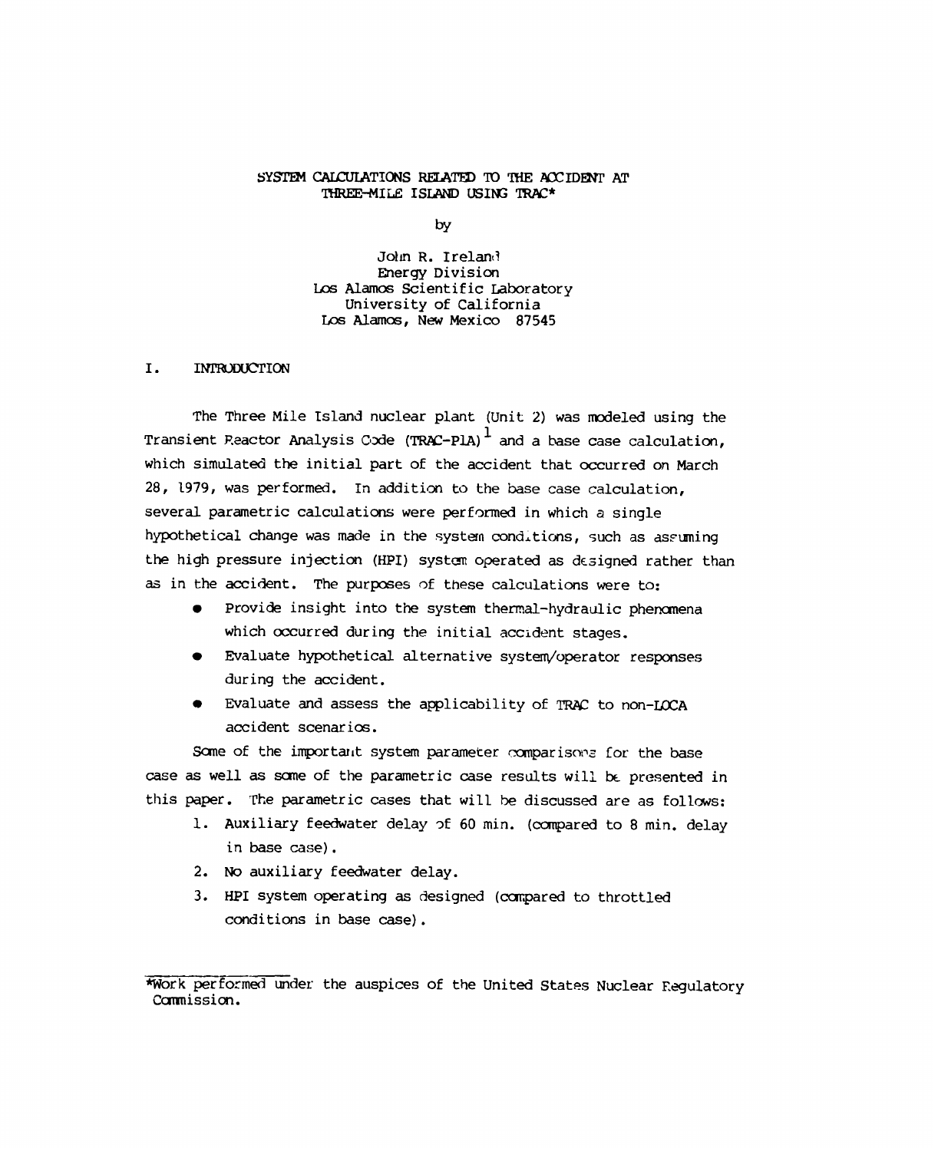#### SYSTEM CALCULATIONS RELATED TO THE ACCIDENT AT THREE-MILE ISLAND USING TRAC\*

by

John R. Ireland Energy Division Los Alamos Scientific Laboratory University of California Los Alamos, New Mexico 87545

#### I. INTRODUCTION

The Three Mile Island nuclear plant (Unit 2) was modeled using the Transient Reactor Analysis Code (TRAC-PlA)  $^1$  and a base case calculation, which simulated the initial part of the accident that occurred on March 28, 1979, was performed. In addition to the base case calculation, several parametric calculations were performed in which a single hypothetical change was made in the system conditions, such as assuming the high pressure injection (HPI) system operated as designed rather than as in the accident. The purposes of these calculations were to:

- Provide insight into the system thermal-hydraulic phenomena which occurred during the initial accident stages.
- Evaluate hypothetical alternative system/operator responses during the accident.
- Evaluate and assess the applicability of TRAC to non-LOCA accident scenarios.

Some of the important system parameter comparisons for the base case as well as some of the parametric case results will be presented in this paper. The parametric cases that will be discussed are as follows:

- l. Auxiliary feedwater delay of 60 min. (compared to 8 min. delay in base case).
- 2. No auxiliary feedwater delay.
- 3. HPI system operating as designed (compared to throttled conditions in base case).

<sup>\*</sup>Work performed under the auspices of the United States Nuclear Regulatory Commission.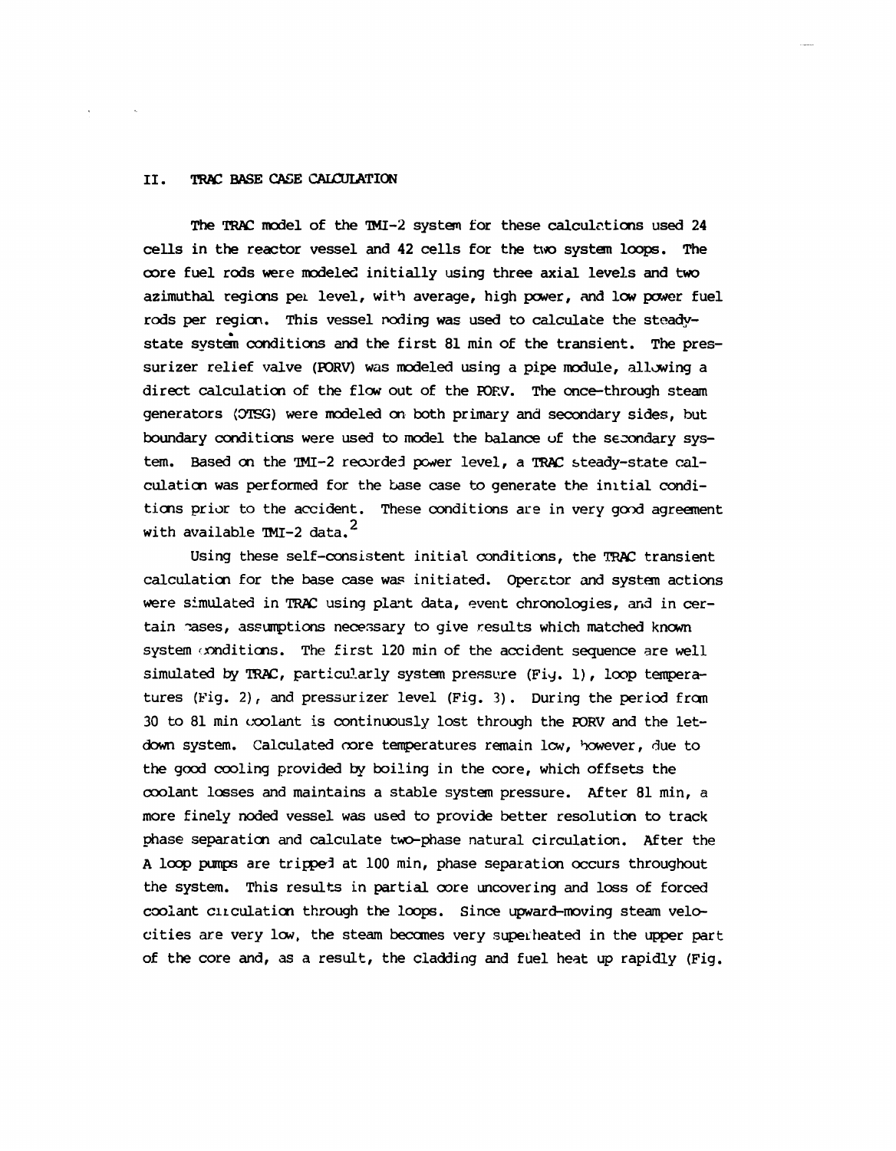#### TRAC BASE CASE CALCULATION II.

The TRAC model of the TMI-2 system for these calculations used 24 cells in the reactor vessel and 42 cells for the two system loops. The core fuel rods were modeled initially using three axial levels and two azimuthal regions per level, with average, high power, and low power fuel rods per region. This vessel noding was used to calculate the steadystate system conditions and the first 81 min of the transient. The pressurizer relief valve (PORV) was modeled using a pipe module, allowing a direct calculation of the flow out of the PORV. The once-through steam generators (OTSG) were modeled on both primary and secondary sides, but boundary conditions were used to model the balance of the secondary system. Based on the TMI-2 recorded power level, a TRAC steady-state calculation was performed for the base case to generate the initial conditions prior to the accident. These conditions are in very good agreement with available TMI-2 data.<sup>2</sup>

Using these self-consistent initial conditions, the TRAC transient calculation for the base case was initiated. Operator and system actions were simulated in TRAC using plant data, event chronologies, and in certain pases, assumptions necessary to give results which matched known system conditions. The first 120 min of the accident sequence are well simulated by TRAC, particularly system pressure (Fig. 1), loop temperatures (Fig. 2), and pressurizer level (Fig. 3). During the period from 30 to 81 min coolant is continuously lost through the PORV and the letdown system. Calculated core temperatures remain low, however, due to the good cooling provided by boiling in the core, which offsets the coolant losses and maintains a stable system pressure. After 81 min, a more finely noded vessel was used to provide better resolution to track phase separation and calculate two-phase natural circulation. After the A loop pumps are tripped at 100 min, phase separation occurs throughout the system. This results in partial core uncovering and loss of forced coolant circulation through the loops. Since upward-moving steam velocities are very low, the steam becomes very superheated in the upper part of the core and, as a result, the cladding and fuel heat up rapidly (Fig.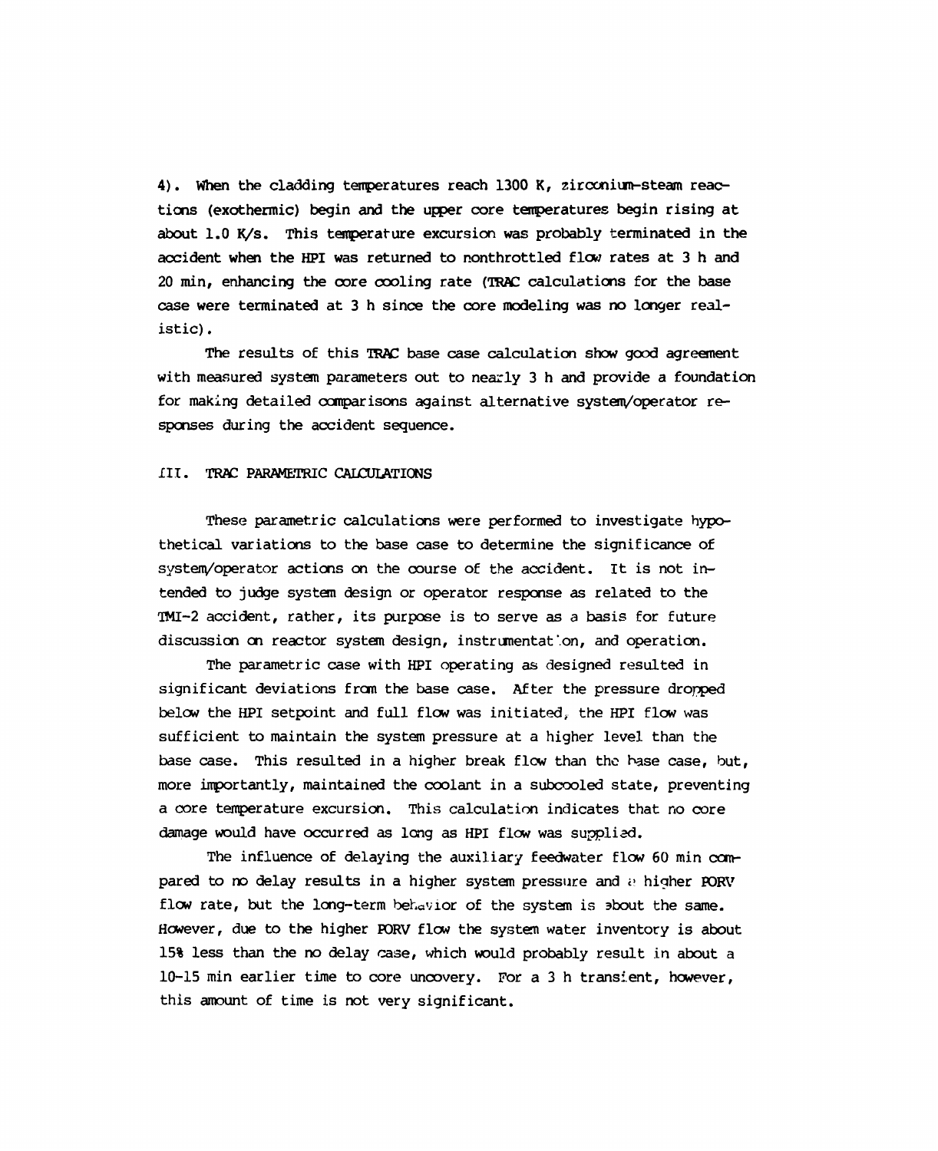4). When the cladding temperatures reach 1300 K, zirconium-steam reactions (exothermic) begin and the upper core temperatures begin rising at about 1.0 K/s. This temperature excursion was probably terminated in the accident when the HPI was returned to nonthrottled flow rates at 3 h and 20 min, enhancing the core cooling rate (TRAC calculations for the base case were terminated at 3 h since the core modeling was no longer realistic).

The results of this TRAC base case calculation show good agreement with measured system parameters out to nearly 3 h and provide a foundation for making detailed comparisons against alternative system/operator responses during the accident sequence.

#### III. TRAC PARAMETRIC CALCULATIONS

These parametric calculations were performed to investigate hypothetical variations to the base case to determine the significance of system/operator actions on the course of the accident. It is not intended to judge system design or operator response as related to the TMI-2 accident, rather, its purpose is to serve as a basis for future discussion on reactor system design, instrumentation, and operation.

The parametric case with HPI operating as designed resulted in significant deviations from the base case. After the pressure dropped below the HPI setpoint and full flow was initiated, the HPI flow was sufficient to maintain the system pressure at a higher level than the base case. This resulted in a higher break flow than the base case, but, more importantly, maintained the coolant in a subcooled state, preventing a core temperature excursion. This calculation indicates that no core damage would have occurred as long as HPI flow was supplied.

The influence of delaying the auxiliary feedwater flow 60 min compared to no delay results in a higher system pressure and a higher PORV flow rate, but the long-term behavior of the system is sbout the same. However, due to the higher PORV flow the system water inventory is about 15% less than the no delay case, which would probably result in about a 10-15 min earlier time to core uncovery. For a 3 h transient, however, this amount of time is not very significant.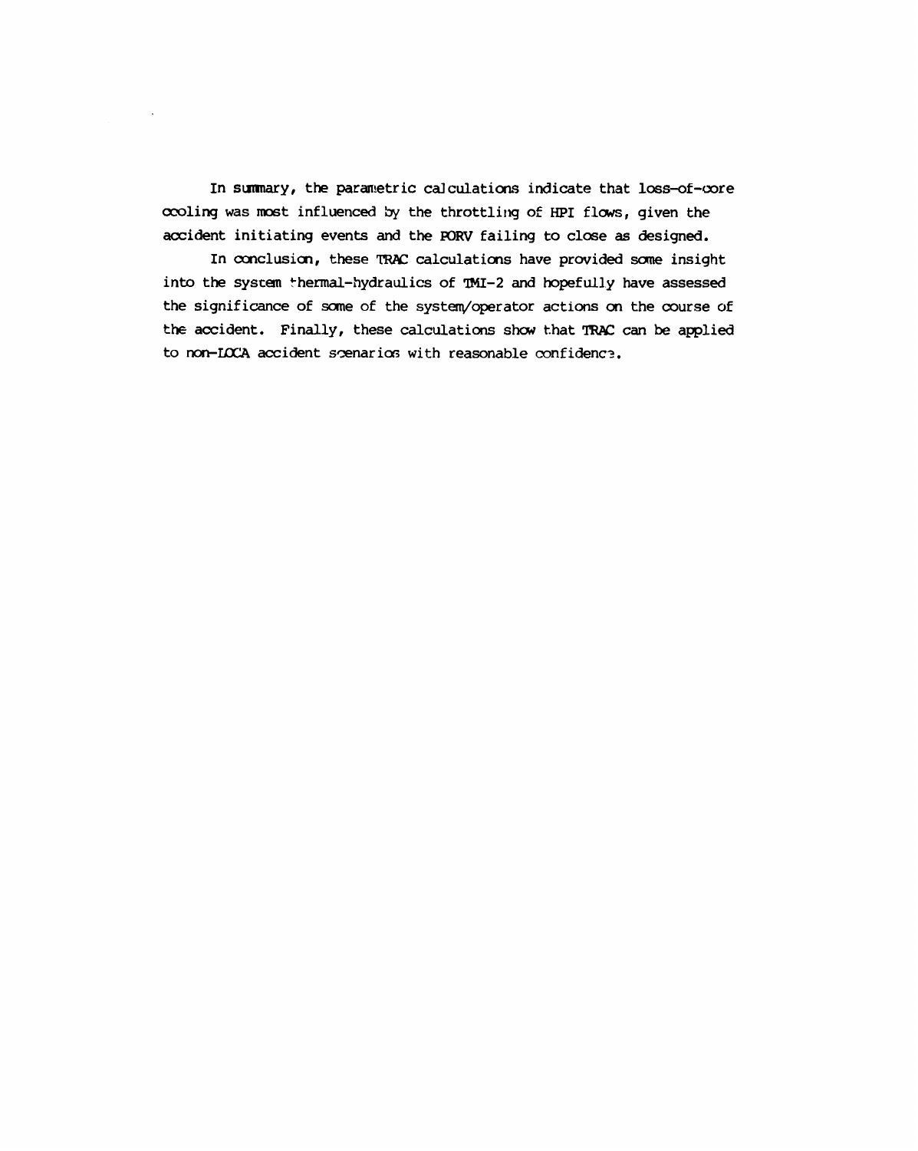In summary, the parametric calculations indicate that loss-of-core cooling was most influenced by the throttling of HPI flows, given the accident initiating events and the PORV failing to close as designed.

In conclusion, these TRAC calculations have provided some insight into the system thermal-hydraulics of TMI-2 and hopefully have assessed the significance of some of the system/operator actions on the course of the accident. Finally, these calculations show that TRAC can be applied to non-LOCA accident scenarios with reasonable confidence.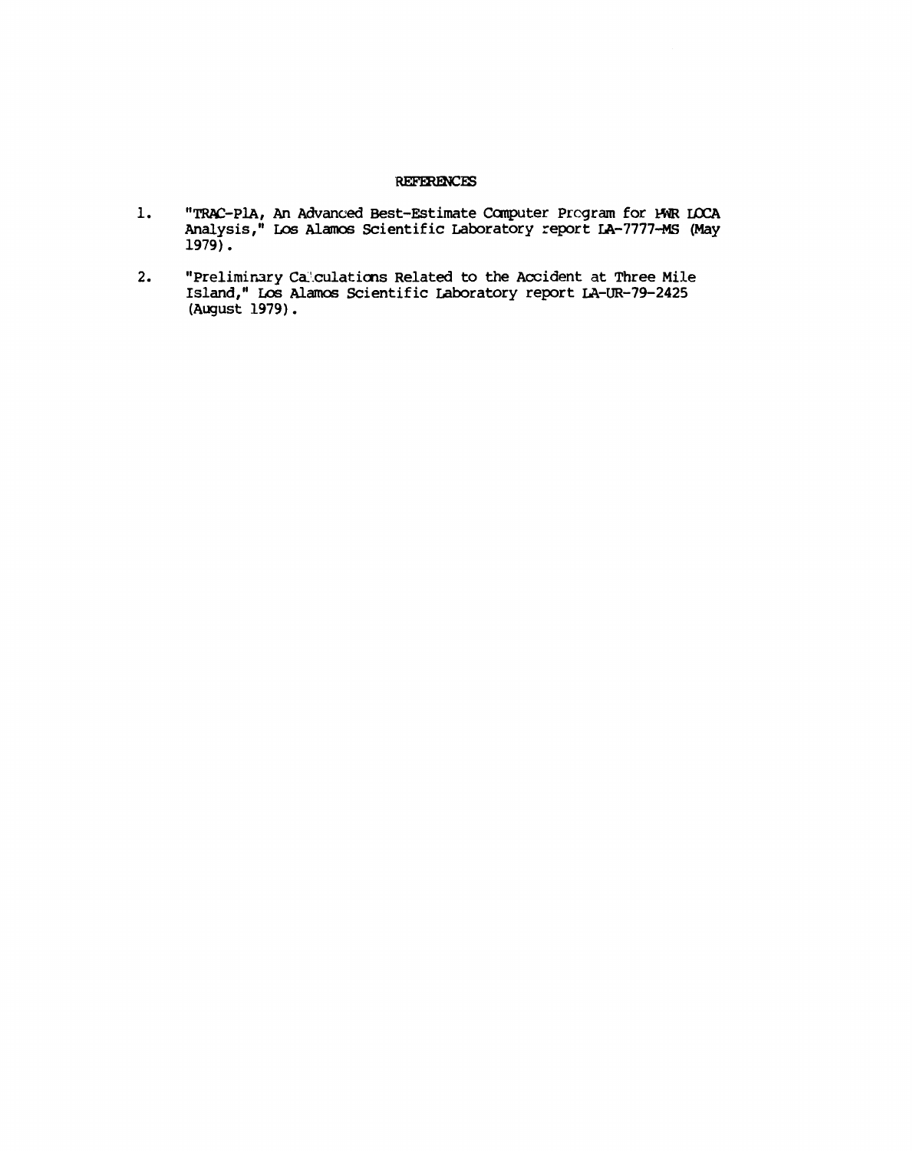#### **REFERENCES**

- "TRAC-PlA, An Advanced Best-Estimate Computer Program for HWR LOCA<br>Analysis," Los Alamos Scientific Laboratory report LA-7777-MS (May  $1.$  $1979$ .
- "Preliminary Calculations Related to the Accident at Three Mile Island," Los Alamos Scientific Laboratory report LA-UR-79-2425 (August 1979).  $2.$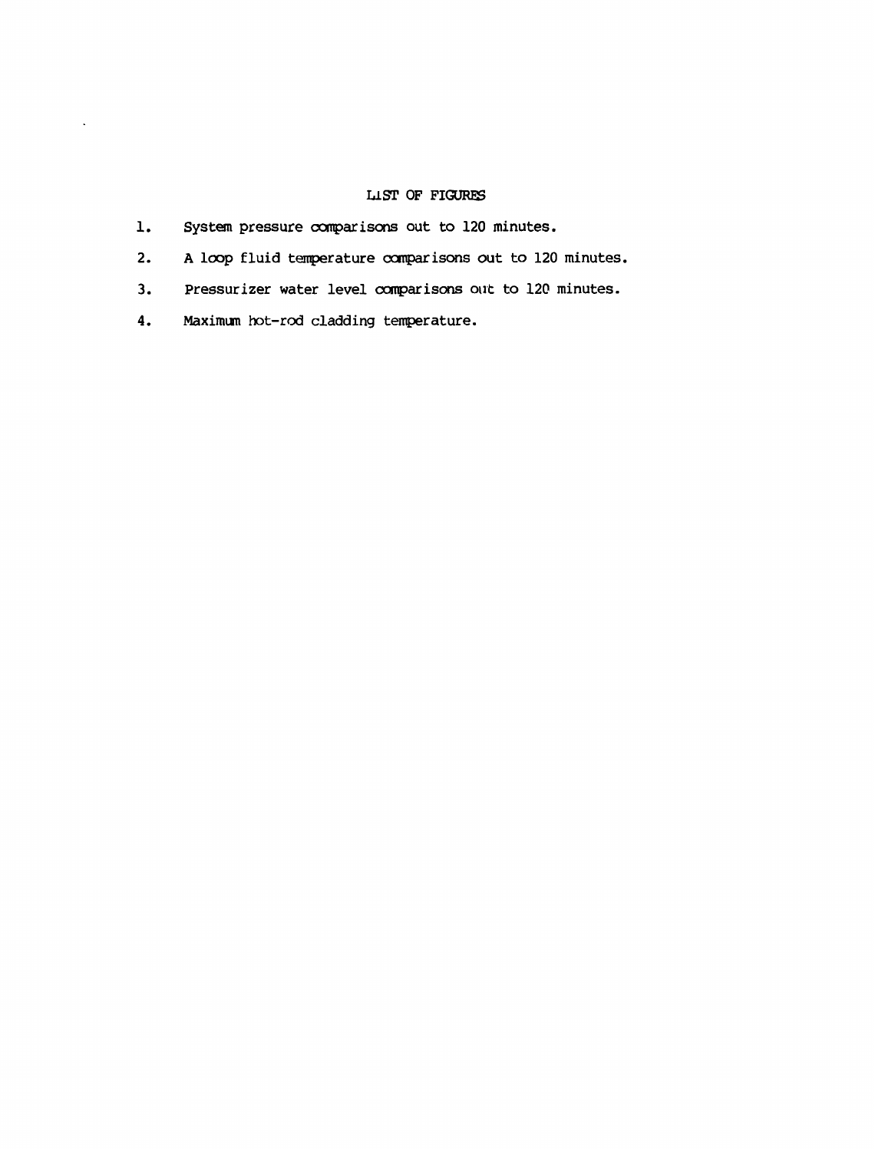### LIST OF FIGURES

- 1. System pressure comparisons out to 120 minutes.
- 2. A loop fluid temperature comparisons out to 120 minutes.
- 3. Pressurizer water level comparisons out to 120 minutes.
- 4. Maximum hot-rod cladding temperature.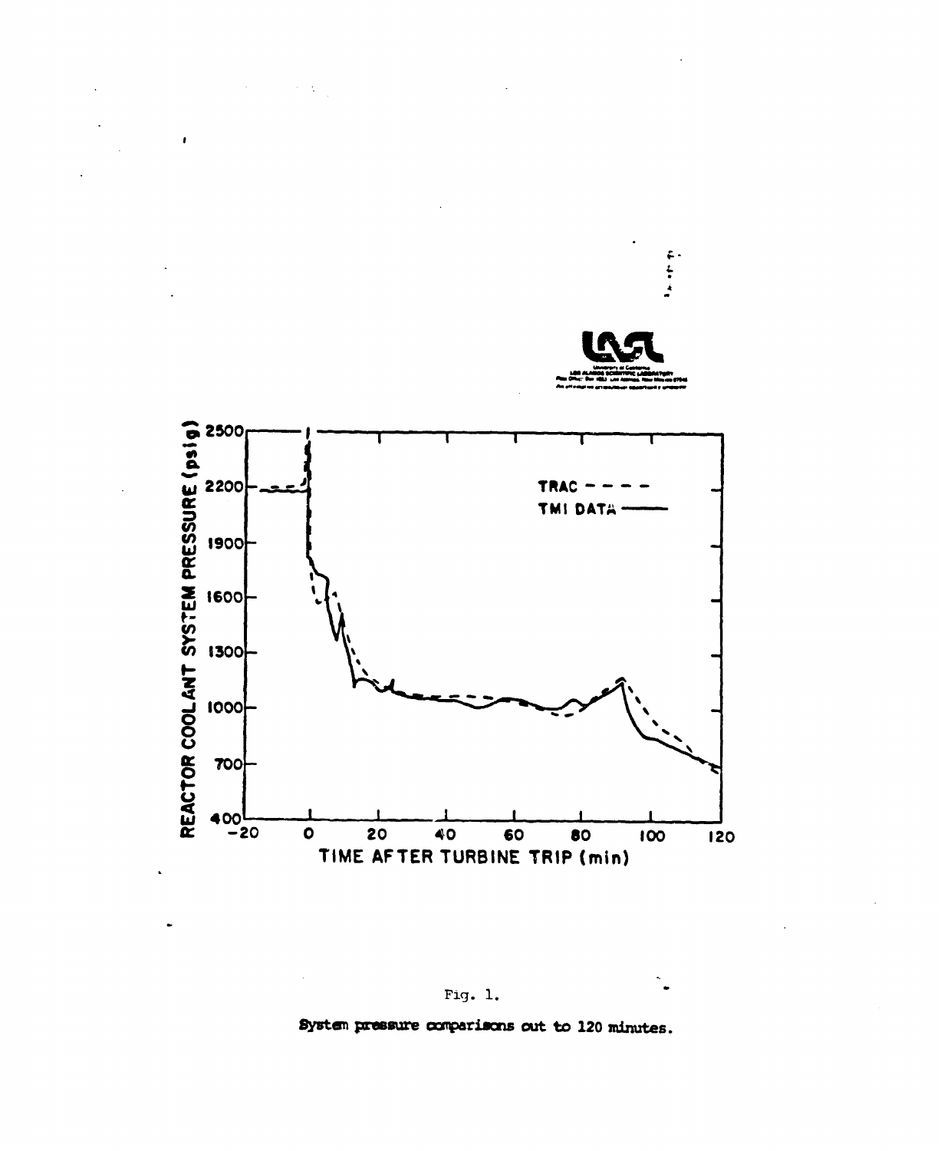

System pressure comparisons out to 120 minutes.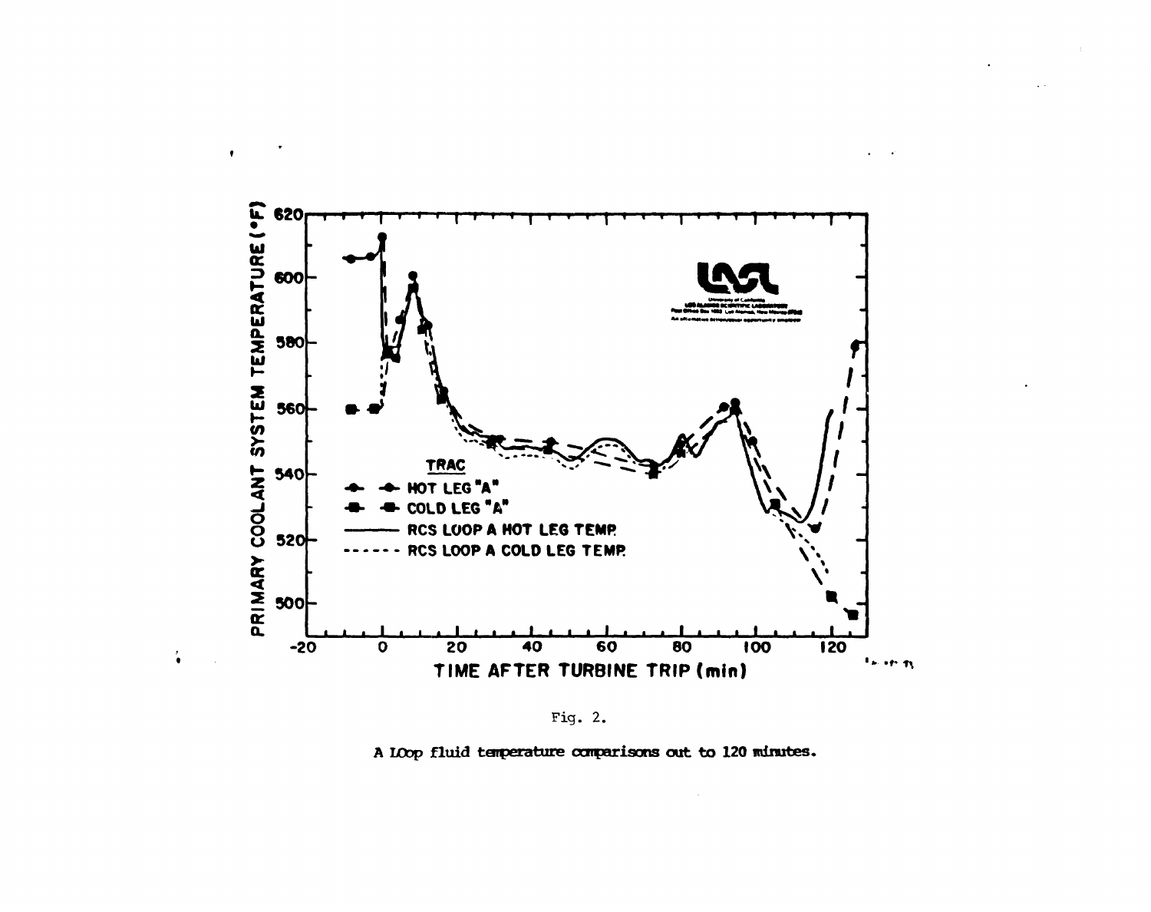

 $\bullet$ 

 $\ddot{\bullet}$ 

Fig. 2.

A LOOP fluid temperature comparisons out to 120 minutes.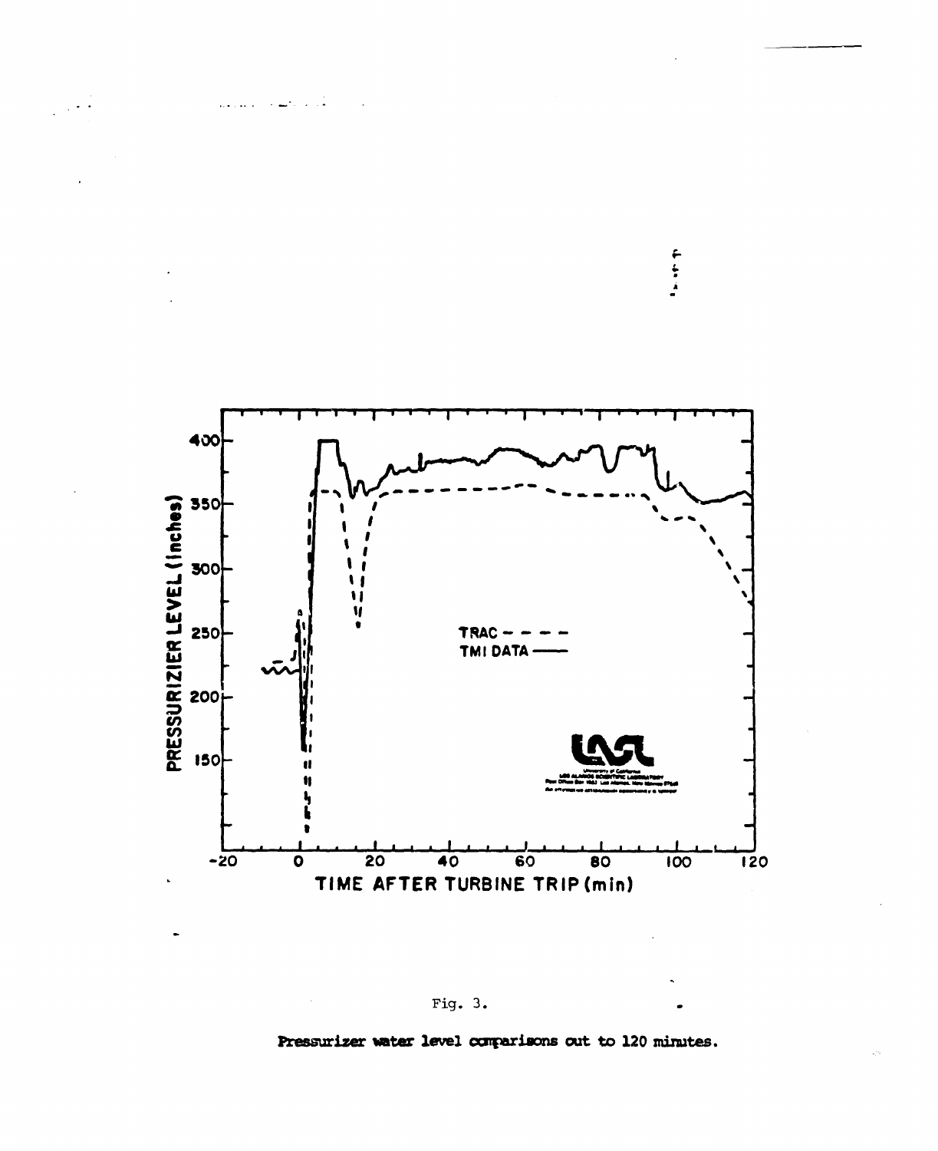



## Fig.  $3.$

Pressurizer water level comparisons out to 120 minutes.